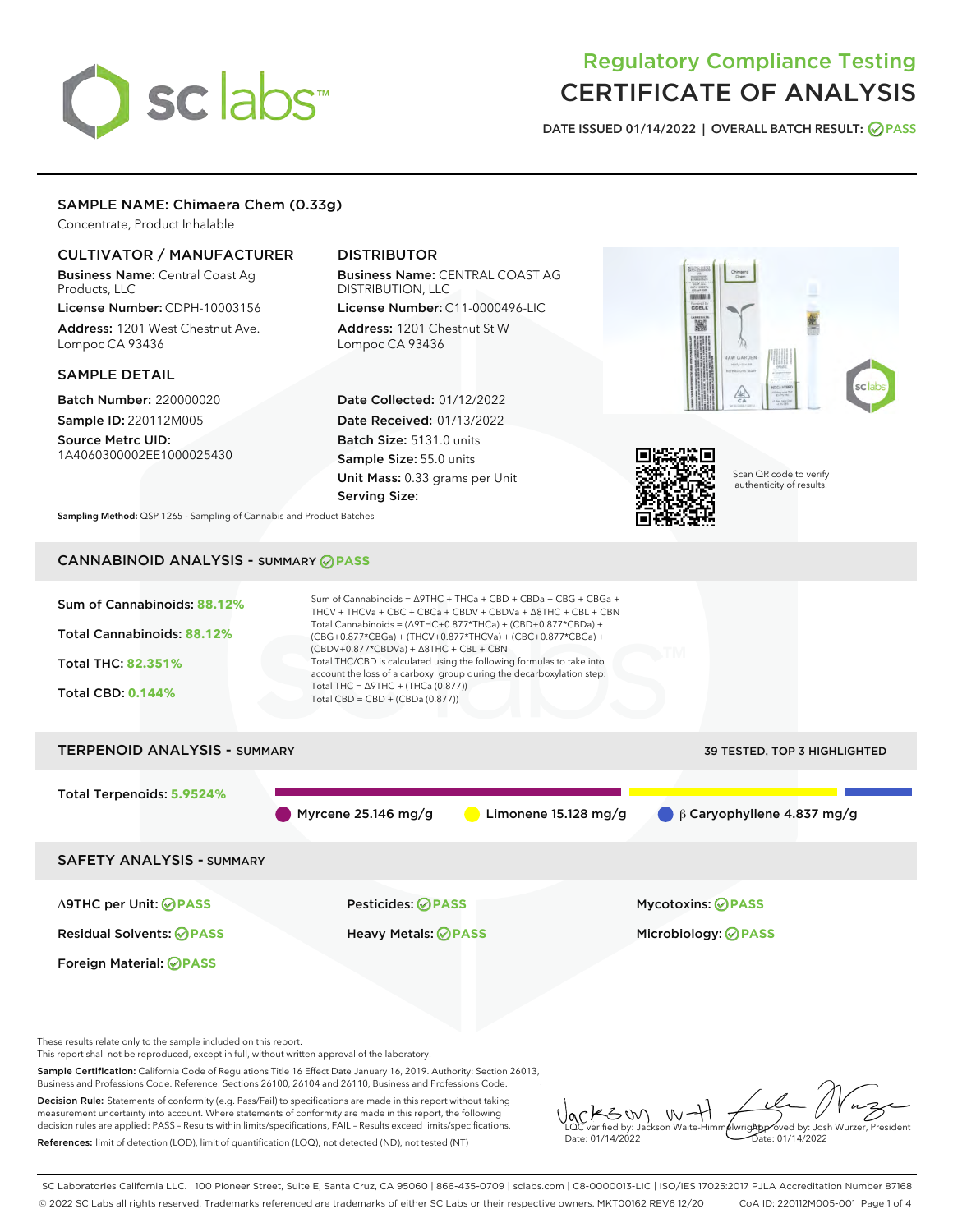# sclabs

# Regulatory Compliance Testing CERTIFICATE OF ANALYSIS

DATE ISSUED 01/14/2022 | OVERALL BATCH RESULT: @ PASS

## SAMPLE NAME: Chimaera Chem (0.33g)

Concentrate, Product Inhalable

## CULTIVATOR / MANUFACTURER

Business Name: Central Coast Ag Products, LLC License Number: CDPH-10003156

Address: 1201 West Chestnut Ave. Lompoc CA 93436

#### SAMPLE DETAIL

Batch Number: 220000020 Sample ID: 220112M005

Source Metrc UID: 1A4060300002EE1000025430

# DISTRIBUTOR

Business Name: CENTRAL COAST AG DISTRIBUTION, LLC License Number: C11-0000496-LIC

Address: 1201 Chestnut St W Lompoc CA 93436

Date Collected: 01/12/2022 Date Received: 01/13/2022 Batch Size: 5131.0 units Sample Size: 55.0 units Unit Mass: 0.33 grams per Unit Serving Size:





Scan QR code to verify authenticity of results.

Sampling Method: QSP 1265 - Sampling of Cannabis and Product Batches

# CANNABINOID ANALYSIS - SUMMARY **PASS**



These results relate only to the sample included on this report.

This report shall not be reproduced, except in full, without written approval of the laboratory.

Sample Certification: California Code of Regulations Title 16 Effect Date January 16, 2019. Authority: Section 26013, Business and Professions Code. Reference: Sections 26100, 26104 and 26110, Business and Professions Code.

Decision Rule: Statements of conformity (e.g. Pass/Fail) to specifications are made in this report without taking measurement uncertainty into account. Where statements of conformity are made in this report, the following decision rules are applied: PASS – Results within limits/specifications, FAIL – Results exceed limits/specifications. References: limit of detection (LOD), limit of quantification (LOQ), not detected (ND), not tested (NT)

KSW  $W$ **AlwrigApproved by: Josh Wurzer, President** LQC verified by: Jackson Waite-Himmelwright Date: 01/14/2022 Date: 01/14/2022

SC Laboratories California LLC. | 100 Pioneer Street, Suite E, Santa Cruz, CA 95060 | 866-435-0709 | sclabs.com | C8-0000013-LIC | ISO/IES 17025:2017 PJLA Accreditation Number 87168 © 2022 SC Labs all rights reserved. Trademarks referenced are trademarks of either SC Labs or their respective owners. MKT00162 REV6 12/20 CoA ID: 220112M005-001 Page 1 of 4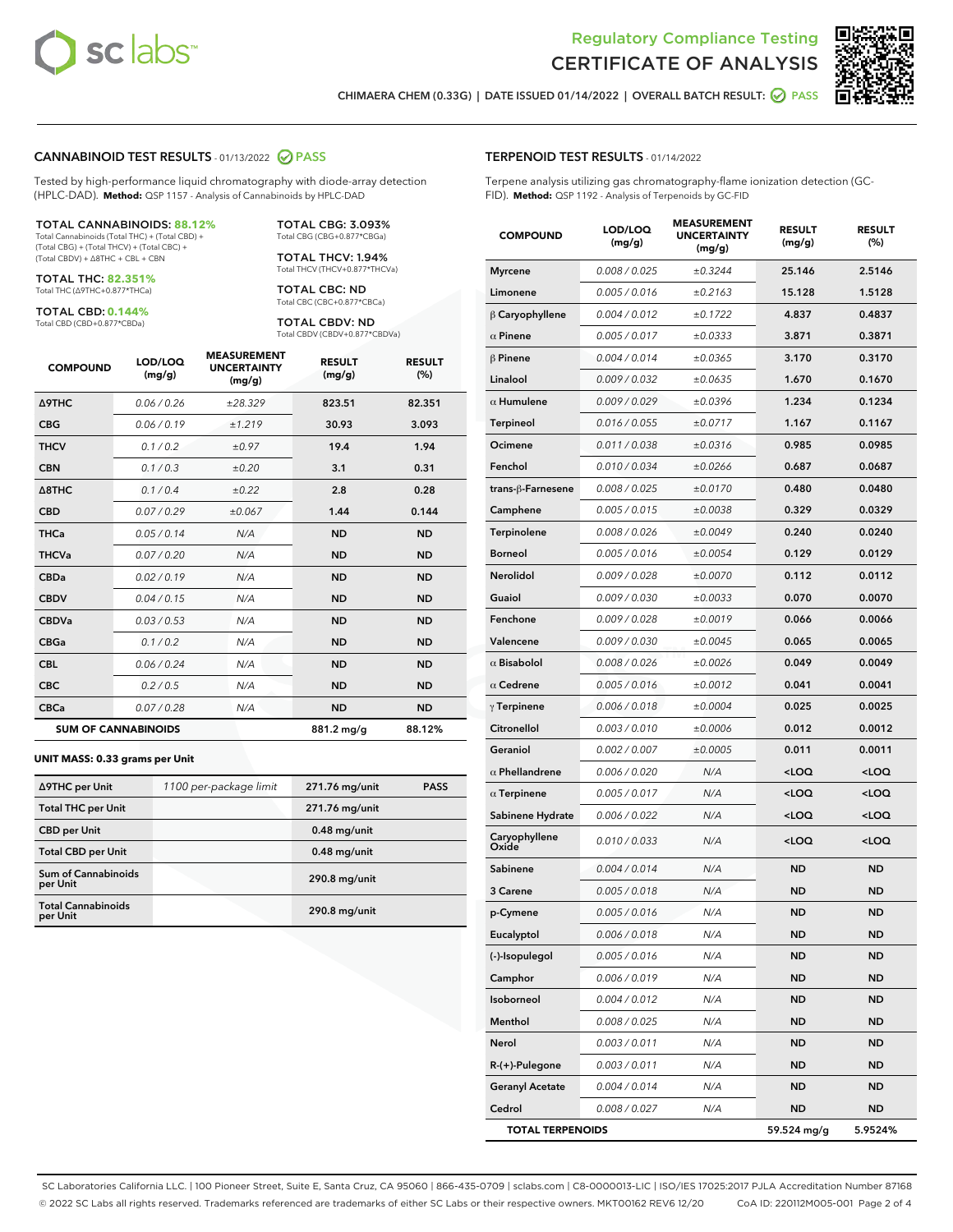



CHIMAERA CHEM (0.33G) | DATE ISSUED 01/14/2022 | OVERALL BATCH RESULT: @ PASS

#### CANNABINOID TEST RESULTS - 01/13/2022 2 PASS

Tested by high-performance liquid chromatography with diode-array detection (HPLC-DAD). **Method:** QSP 1157 - Analysis of Cannabinoids by HPLC-DAD

#### TOTAL CANNABINOIDS: **88.12%**

Total Cannabinoids (Total THC) + (Total CBD) + (Total CBG) + (Total THCV) + (Total CBC) + (Total CBDV) + ∆8THC + CBL + CBN

TOTAL THC: **82.351%** Total THC (∆9THC+0.877\*THCa)

TOTAL CBD: **0.144%**

Total CBD (CBD+0.877\*CBDa)

TOTAL CBG: 3.093% Total CBG (CBG+0.877\*CBGa)

TOTAL THCV: 1.94% Total THCV (THCV+0.877\*THCVa)

TOTAL CBC: ND Total CBC (CBC+0.877\*CBCa)

TOTAL CBDV: ND Total CBDV (CBDV+0.877\*CBDVa)

| <b>COMPOUND</b>            | LOD/LOQ<br>(mg/g) | <b>MEASUREMENT</b><br><b>UNCERTAINTY</b><br>(mg/g) | <b>RESULT</b><br>(mg/g) | <b>RESULT</b><br>(%) |
|----------------------------|-------------------|----------------------------------------------------|-------------------------|----------------------|
| <b>A9THC</b>               | 0.06 / 0.26       | ±28.329                                            | 823.51                  | 82.351               |
| <b>CBG</b>                 | 0.06/0.19         | ±1.219                                             | 30.93                   | 3.093                |
| <b>THCV</b>                | 0.1 / 0.2         | ±0.97                                              | 19.4                    | 1.94                 |
| <b>CBN</b>                 | 0.1/0.3           | ±0.20                                              | 3.1                     | 0.31                 |
| $\triangle$ 8THC           | 0.1/0.4           | ±0.22                                              | 2.8                     | 0.28                 |
| <b>CBD</b>                 | 0.07/0.29         | ±0.067                                             | 1.44                    | 0.144                |
| <b>THCa</b>                | 0.05/0.14         | N/A                                                | <b>ND</b>               | <b>ND</b>            |
| <b>THCVa</b>               | 0.07/0.20         | N/A                                                | <b>ND</b>               | <b>ND</b>            |
| <b>CBDa</b>                | 0.02/0.19         | N/A                                                | <b>ND</b>               | <b>ND</b>            |
| <b>CBDV</b>                | 0.04 / 0.15       | N/A                                                | <b>ND</b>               | <b>ND</b>            |
| <b>CBDVa</b>               | 0.03/0.53         | N/A                                                | <b>ND</b>               | <b>ND</b>            |
| <b>CBGa</b>                | 0.1/0.2           | N/A                                                | <b>ND</b>               | <b>ND</b>            |
| <b>CBL</b>                 | 0.06 / 0.24       | N/A                                                | <b>ND</b>               | <b>ND</b>            |
| <b>CBC</b>                 | 0.2 / 0.5         | N/A                                                | <b>ND</b>               | <b>ND</b>            |
| <b>CBCa</b>                | 0.07/0.28         | N/A                                                | <b>ND</b>               | <b>ND</b>            |
| <b>SUM OF CANNABINOIDS</b> |                   |                                                    | 881.2 mg/g              | 88.12%               |

#### **UNIT MASS: 0.33 grams per Unit**

| ∆9THC per Unit                         | 1100 per-package limit | 271.76 mg/unit | <b>PASS</b> |
|----------------------------------------|------------------------|----------------|-------------|
| <b>Total THC per Unit</b>              |                        | 271.76 mg/unit |             |
| <b>CBD</b> per Unit                    |                        | $0.48$ mg/unit |             |
| <b>Total CBD per Unit</b>              |                        | $0.48$ mg/unit |             |
| <b>Sum of Cannabinoids</b><br>per Unit |                        | 290.8 mg/unit  |             |
| <b>Total Cannabinoids</b><br>per Unit  |                        | 290.8 mg/unit  |             |

| <b>COMPOUND</b>         | LOD/LOQ<br>(mg/g)    | AJUREIVII<br><b>UNCERTAINTY</b><br>(mg/g) | <b>RESULT</b><br>(mg/g)                         | <b>RESULT</b><br>(%) |
|-------------------------|----------------------|-------------------------------------------|-------------------------------------------------|----------------------|
| <b>Myrcene</b>          | 0.008 / 0.025        | ±0.3244                                   | 25.146                                          | 2.5146               |
| Limonene                | 0.005 / 0.016        | ±0.2163                                   | 15.128                                          | 1.5128               |
| $\beta$ Caryophyllene   | 0.004 / 0.012        | ±0.1722                                   | 4.837                                           | 0.4837               |
| $\alpha$ Pinene         | 0.005 / 0.017        | ±0.0333                                   | 3.871                                           | 0.3871               |
| $\beta$ Pinene          | 0.004 / 0.014        | ±0.0365                                   | 3.170                                           | 0.3170               |
| Linalool                | 0.009 / 0.032        | ±0.0635                                   | 1.670                                           | 0.1670               |
| $\alpha$ Humulene       | 0.009 / 0.029        | ±0.0396                                   | 1.234                                           | 0.1234               |
| <b>Terpineol</b>        | 0.016 / 0.055        | ±0.0717                                   | 1.167                                           | 0.1167               |
| Ocimene                 | 0.011 / 0.038        | ±0.0316                                   | 0.985                                           | 0.0985               |
| Fenchol                 | 0.010 / 0.034        | ±0.0266                                   | 0.687                                           | 0.0687               |
| trans-ß-Farnesene       | 0.008 / 0.025        | ±0.0170                                   | 0.480                                           | 0.0480               |
| Camphene                | 0.005 / 0.015        | ±0.0038                                   | 0.329                                           | 0.0329               |
| Terpinolene             | 0.008 / 0.026        | ±0.0049                                   | 0.240                                           | 0.0240               |
| <b>Borneol</b>          | 0.005 / 0.016        | ±0.0054                                   | 0.129                                           | 0.0129               |
| <b>Nerolidol</b>        | 0.009 / 0.028        | ±0.0070                                   | 0.112                                           | 0.0112               |
| Guaiol                  | 0.009 / 0.030        | ±0.0033                                   | 0.070                                           | 0.0070               |
| Fenchone                | 0.009 / 0.028        | ±0.0019                                   | 0.066                                           | 0.0066               |
| Valencene               | <i>0.009 / 0.030</i> | ±0.0045                                   | 0.065                                           | 0.0065               |
| $\alpha$ Bisabolol      | 0.008 / 0.026        | ±0.0026                                   | 0.049                                           | 0.0049               |
| $\alpha$ Cedrene        | 0.005 / 0.016        | ±0.0012                                   | 0.041                                           | 0.0041               |
| $\gamma$ Terpinene      | 0.006 / 0.018        | ±0.0004                                   | 0.025                                           | 0.0025               |
| Citronellol             | 0.003 / 0.010        | ±0.0006                                   | 0.012                                           | 0.0012               |
| Geraniol                | 0.002 / 0.007        | ±0.0005                                   | 0.011                                           | 0.0011               |
| $\alpha$ Phellandrene   | 0.006 / 0.020        | N/A                                       | <loq< th=""><th><loq< th=""></loq<></th></loq<> | <loq< th=""></loq<>  |
| $\alpha$ Terpinene      | 0.005 / 0.017        | N/A                                       | <loq< th=""><th><loq< th=""></loq<></th></loq<> | <loq< th=""></loq<>  |
| Sabinene Hydrate        | 0.006 / 0.022        | N/A                                       | <loq< th=""><th><loq< th=""></loq<></th></loq<> | <loq< th=""></loq<>  |
| Caryophyllene<br>Oxide  | 0.010 / 0.033        | N/A                                       | <loq< th=""><th><loq< th=""></loq<></th></loq<> | <loq< th=""></loq<>  |
| Sabinene                | 0.004 / 0.014        | N/A                                       | ND                                              | ND                   |
| 3 Carene                | 0.005 / 0.018        | N/A                                       | <b>ND</b>                                       | ND                   |
| p-Cymene                | 0.005 / 0.016        | N/A                                       | <b>ND</b>                                       | ND                   |
| Eucalyptol              | 0.006 / 0.018        | N/A                                       | ND                                              | ND                   |
| (-)-Isopulegol          | 0.005 / 0.016        | N/A                                       | ND                                              | ND                   |
| Camphor                 | 0.006 / 0.019        | N/A                                       | ND                                              | ND                   |
| Isoborneol              | 0.004 / 0.012        | N/A                                       | ND                                              | ND                   |
| Menthol                 | 0.008 / 0.025        | N/A                                       | ND                                              | ND                   |
| Nerol                   | 0.003 / 0.011        | N/A                                       | ND                                              | ND                   |
| $R-(+)$ -Pulegone       | 0.003 / 0.011        | N/A                                       | ND                                              | ND                   |
| <b>Geranyl Acetate</b>  | 0.004 / 0.014        | N/A                                       | ND                                              | ND                   |
| Cedrol                  | 0.008 / 0.027        | N/A                                       | <b>ND</b>                                       | ND                   |
| <b>TOTAL TERPENOIDS</b> |                      |                                           | 59.524 mg/g                                     | 5.9524%              |

SC Laboratories California LLC. | 100 Pioneer Street, Suite E, Santa Cruz, CA 95060 | 866-435-0709 | sclabs.com | C8-0000013-LIC | ISO/IES 17025:2017 PJLA Accreditation Number 87168 © 2022 SC Labs all rights reserved. Trademarks referenced are trademarks of either SC Labs or their respective owners. MKT00162 REV6 12/20 CoA ID: 220112M005-001 Page 2 of 4

# TERPENOID TEST RESULTS - 01/14/2022

Terpene analysis utilizing gas chromatography-flame ionization detection (GC-FID). **Method:** QSP 1192 - Analysis of Terpenoids by GC-FID

MEACUREMENT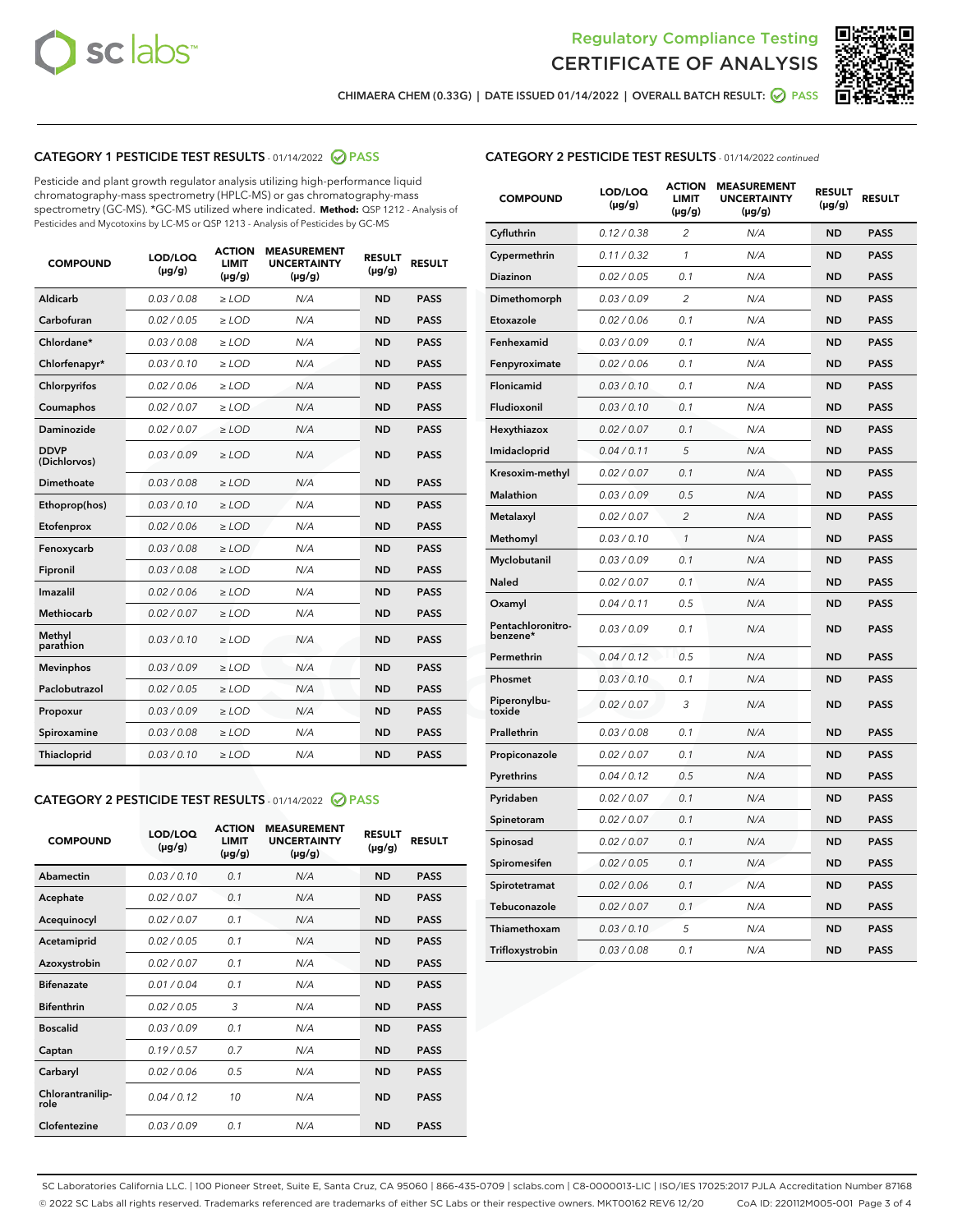



CHIMAERA CHEM (0.33G) | DATE ISSUED 01/14/2022 | OVERALL BATCH RESULT: ☑ PASS

# CATEGORY 1 PESTICIDE TEST RESULTS - 01/14/2022 2 PASS

Pesticide and plant growth regulator analysis utilizing high-performance liquid chromatography-mass spectrometry (HPLC-MS) or gas chromatography-mass spectrometry (GC-MS). \*GC-MS utilized where indicated. **Method:** QSP 1212 - Analysis of Pesticides and Mycotoxins by LC-MS or QSP 1213 - Analysis of Pesticides by GC-MS

| <b>COMPOUND</b>             | LOD/LOQ<br>$(\mu g/g)$ | <b>ACTION</b><br><b>LIMIT</b><br>$(\mu g/g)$ | <b>MEASUREMENT</b><br><b>UNCERTAINTY</b><br>$(\mu g/g)$ | <b>RESULT</b><br>$(\mu g/g)$ | <b>RESULT</b> |
|-----------------------------|------------------------|----------------------------------------------|---------------------------------------------------------|------------------------------|---------------|
| <b>Aldicarb</b>             | 0.03 / 0.08            | $\ge$ LOD                                    | N/A                                                     | <b>ND</b>                    | <b>PASS</b>   |
| Carbofuran                  | 0.02/0.05              | $>$ LOD                                      | N/A                                                     | <b>ND</b>                    | <b>PASS</b>   |
| Chlordane*                  | 0.03 / 0.08            | $\ge$ LOD                                    | N/A                                                     | <b>ND</b>                    | <b>PASS</b>   |
| Chlorfenapyr*               | 0.03/0.10              | $>$ LOD                                      | N/A                                                     | <b>ND</b>                    | <b>PASS</b>   |
| Chlorpyrifos                | 0.02 / 0.06            | $\ge$ LOD                                    | N/A                                                     | <b>ND</b>                    | <b>PASS</b>   |
| Coumaphos                   | 0.02 / 0.07            | $\ge$ LOD                                    | N/A                                                     | <b>ND</b>                    | <b>PASS</b>   |
| Daminozide                  | 0.02 / 0.07            | $\ge$ LOD                                    | N/A                                                     | <b>ND</b>                    | <b>PASS</b>   |
| <b>DDVP</b><br>(Dichlorvos) | 0.03/0.09              | $\geq$ LOD                                   | N/A                                                     | <b>ND</b>                    | <b>PASS</b>   |
| Dimethoate                  | 0.03 / 0.08            | $>$ LOD                                      | N/A                                                     | <b>ND</b>                    | <b>PASS</b>   |
| Ethoprop(hos)               | 0.03/0.10              | $\ge$ LOD                                    | N/A                                                     | <b>ND</b>                    | <b>PASS</b>   |
| Etofenprox                  | 0.02 / 0.06            | $>$ LOD                                      | N/A                                                     | <b>ND</b>                    | <b>PASS</b>   |
| Fenoxycarb                  | 0.03 / 0.08            | $\geq$ LOD                                   | N/A                                                     | <b>ND</b>                    | <b>PASS</b>   |
| Fipronil                    | 0.03/0.08              | $>$ LOD                                      | N/A                                                     | <b>ND</b>                    | <b>PASS</b>   |
| Imazalil                    | 0.02 / 0.06            | $\ge$ LOD                                    | N/A                                                     | <b>ND</b>                    | <b>PASS</b>   |
| <b>Methiocarb</b>           | 0.02 / 0.07            | $\ge$ LOD                                    | N/A                                                     | <b>ND</b>                    | <b>PASS</b>   |
| Methyl<br>parathion         | 0.03/0.10              | $\geq$ LOD                                   | N/A                                                     | <b>ND</b>                    | <b>PASS</b>   |
| <b>Mevinphos</b>            | 0.03/0.09              | $>$ LOD                                      | N/A                                                     | <b>ND</b>                    | <b>PASS</b>   |
| Paclobutrazol               | 0.02 / 0.05            | $\ge$ LOD                                    | N/A                                                     | <b>ND</b>                    | <b>PASS</b>   |
| Propoxur                    | 0.03/0.09              | $\ge$ LOD                                    | N/A                                                     | <b>ND</b>                    | <b>PASS</b>   |
| Spiroxamine                 | 0.03 / 0.08            | $\ge$ LOD                                    | N/A                                                     | <b>ND</b>                    | <b>PASS</b>   |
| Thiacloprid                 | 0.03/0.10              | $\geq$ LOD                                   | N/A                                                     | <b>ND</b>                    | <b>PASS</b>   |

#### CATEGORY 2 PESTICIDE TEST RESULTS - 01/14/2022 2 PASS

| <b>COMPOUND</b>          | LOD/LOO<br>$(\mu g/g)$ | <b>ACTION</b><br>LIMIT<br>$(\mu g/g)$ | <b>MEASUREMENT</b><br><b>UNCERTAINTY</b><br>$(\mu g/g)$ | <b>RESULT</b><br>$(\mu g/g)$ | <b>RESULT</b> |
|--------------------------|------------------------|---------------------------------------|---------------------------------------------------------|------------------------------|---------------|
| Abamectin                | 0.03/0.10              | 0.1                                   | N/A                                                     | <b>ND</b>                    | <b>PASS</b>   |
| Acephate                 | 0.02/0.07              | 0.1                                   | N/A                                                     | <b>ND</b>                    | <b>PASS</b>   |
| Acequinocyl              | 0.02/0.07              | 0.1                                   | N/A                                                     | <b>ND</b>                    | <b>PASS</b>   |
| Acetamiprid              | 0.02/0.05              | 0.1                                   | N/A                                                     | <b>ND</b>                    | <b>PASS</b>   |
| Azoxystrobin             | 0.02/0.07              | 0.1                                   | N/A                                                     | <b>ND</b>                    | <b>PASS</b>   |
| <b>Bifenazate</b>        | 0.01 / 0.04            | 0.1                                   | N/A                                                     | <b>ND</b>                    | <b>PASS</b>   |
| <b>Bifenthrin</b>        | 0.02 / 0.05            | 3                                     | N/A                                                     | <b>ND</b>                    | <b>PASS</b>   |
| <b>Boscalid</b>          | 0.03/0.09              | 0.1                                   | N/A                                                     | <b>ND</b>                    | <b>PASS</b>   |
| Captan                   | 0.19/0.57              | 0.7                                   | N/A                                                     | <b>ND</b>                    | <b>PASS</b>   |
| Carbaryl                 | 0.02/0.06              | 0.5                                   | N/A                                                     | <b>ND</b>                    | <b>PASS</b>   |
| Chlorantranilip-<br>role | 0.04/0.12              | 10                                    | N/A                                                     | <b>ND</b>                    | <b>PASS</b>   |
| Clofentezine             | 0.03/0.09              | 0.1                                   | N/A                                                     | <b>ND</b>                    | <b>PASS</b>   |

| <b>CATEGORY 2 PESTICIDE TEST RESULTS</b> - 01/14/2022 continued |
|-----------------------------------------------------------------|
|-----------------------------------------------------------------|

| <b>COMPOUND</b>               | LOD/LOQ<br>(µg/g) | <b>ACTION</b><br>LIMIT<br>$(\mu g/g)$ | <b>MEASUREMENT</b><br><b>UNCERTAINTY</b><br>$(\mu g/g)$ | <b>RESULT</b><br>(µg/g) | <b>RESULT</b> |
|-------------------------------|-------------------|---------------------------------------|---------------------------------------------------------|-------------------------|---------------|
| Cyfluthrin                    | 0.12 / 0.38       | 2                                     | N/A                                                     | <b>ND</b>               | <b>PASS</b>   |
| Cypermethrin                  | 0.11 / 0.32       | 1                                     | N/A                                                     | <b>ND</b>               | <b>PASS</b>   |
| Diazinon                      | 0.02 / 0.05       | 0.1                                   | N/A                                                     | ND                      | PASS          |
| Dimethomorph                  | 0.03 / 0.09       | $\overline{2}$                        | N/A                                                     | <b>ND</b>               | <b>PASS</b>   |
| Etoxazole                     | 0.02 / 0.06       | 0.1                                   | N/A                                                     | ND                      | <b>PASS</b>   |
| Fenhexamid                    | 0.03 / 0.09       | 0.1                                   | N/A                                                     | ND                      | <b>PASS</b>   |
| Fenpyroximate                 | 0.02 / 0.06       | 0.1                                   | N/A                                                     | <b>ND</b>               | <b>PASS</b>   |
| Flonicamid                    | 0.03 / 0.10       | 0.1                                   | N/A                                                     | <b>ND</b>               | <b>PASS</b>   |
| Fludioxonil                   | 0.03 / 0.10       | 0.1                                   | N/A                                                     | <b>ND</b>               | <b>PASS</b>   |
| Hexythiazox                   | 0.02 / 0.07       | 0.1                                   | N/A                                                     | ND                      | <b>PASS</b>   |
| Imidacloprid                  | 0.04 / 0.11       | 5                                     | N/A                                                     | <b>ND</b>               | <b>PASS</b>   |
| Kresoxim-methyl               | 0.02 / 0.07       | 0.1                                   | N/A                                                     | ND                      | <b>PASS</b>   |
| Malathion                     | 0.03 / 0.09       | 0.5                                   | N/A                                                     | ND                      | <b>PASS</b>   |
| Metalaxyl                     | 0.02 / 0.07       | $\overline{2}$                        | N/A                                                     | <b>ND</b>               | <b>PASS</b>   |
| Methomyl                      | 0.03 / 0.10       | 1                                     | N/A                                                     | <b>ND</b>               | <b>PASS</b>   |
| Myclobutanil                  | 0.03 / 0.09       | 0.1                                   | N/A                                                     | ND                      | <b>PASS</b>   |
| <b>Naled</b>                  | 0.02 / 0.07       | 0.1                                   | N/A                                                     | ND                      | <b>PASS</b>   |
| Oxamyl                        | 0.04 / 0.11       | 0.5                                   | N/A                                                     | ND                      | <b>PASS</b>   |
| Pentachloronitro-<br>benzene* | 0.03/0.09         | 0.1                                   | N/A                                                     | ND                      | <b>PASS</b>   |
| Permethrin                    | 0.04 / 0.12       | 0.5                                   | N/A                                                     | ND                      | <b>PASS</b>   |
| Phosmet                       | 0.03 / 0.10       | 0.1                                   | N/A                                                     | <b>ND</b>               | <b>PASS</b>   |
| Piperonylbu-<br>toxide        | 0.02 / 0.07       | 3                                     | N/A                                                     | ND                      | <b>PASS</b>   |
| Prallethrin                   | 0.03 / 0.08       | 0.1                                   | N/A                                                     | <b>ND</b>               | <b>PASS</b>   |
| Propiconazole                 | 0.02 / 0.07       | 0.1                                   | N/A                                                     | ND                      | <b>PASS</b>   |
| Pyrethrins                    | 0.04 / 0.12       | 0.5                                   | N/A                                                     | ND                      | <b>PASS</b>   |
| Pyridaben                     | 0.02 / 0.07       | 0.1                                   | N/A                                                     | ND                      | <b>PASS</b>   |
| Spinetoram                    | 0.02 / 0.07       | 0.1                                   | N/A                                                     | ND                      | <b>PASS</b>   |
| Spinosad                      | 0.02 / 0.07       | 0.1                                   | N/A                                                     | ND                      | <b>PASS</b>   |
| Spiromesifen                  | 0.02 / 0.05       | 0.1                                   | N/A                                                     | ND                      | <b>PASS</b>   |
| Spirotetramat                 | 0.02 / 0.06       | 0.1                                   | N/A                                                     | ND                      | <b>PASS</b>   |
| Tebuconazole                  | 0.02 / 0.07       | 0.1                                   | N/A                                                     | ND                      | <b>PASS</b>   |
| Thiamethoxam                  | 0.03 / 0.10       | 5                                     | N/A                                                     | ND                      | <b>PASS</b>   |
| Trifloxystrobin               | 0.03 / 0.08       | 0.1                                   | N/A                                                     | ND                      | <b>PASS</b>   |

SC Laboratories California LLC. | 100 Pioneer Street, Suite E, Santa Cruz, CA 95060 | 866-435-0709 | sclabs.com | C8-0000013-LIC | ISO/IES 17025:2017 PJLA Accreditation Number 87168 © 2022 SC Labs all rights reserved. Trademarks referenced are trademarks of either SC Labs or their respective owners. MKT00162 REV6 12/20 CoA ID: 220112M005-001 Page 3 of 4